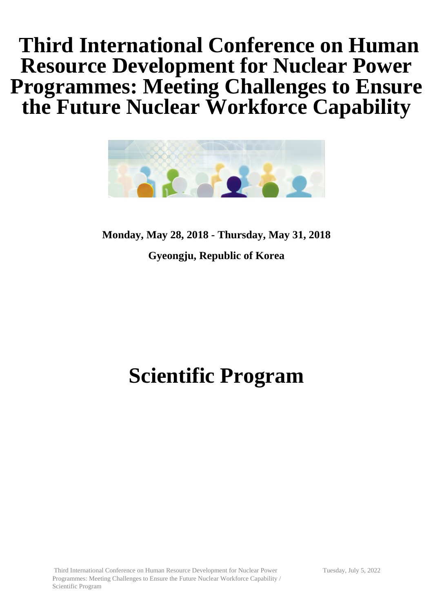# **Third International Conference on Human Resource Development for Nuclear Power Programmes: Meeting Challenges to Ensure the Future Nuclear Workforce Capability**



**Monday, May 28, 2018 - Thursday, May 31, 2018 Gyeongju, Republic of Korea**

# **Scientific Program**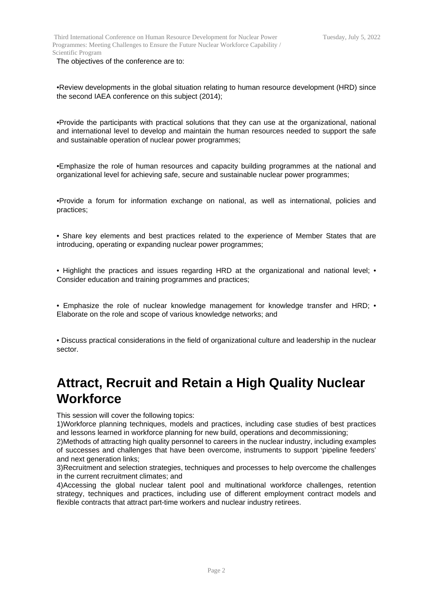Third International Conference on Human Resource Development for Nuclear Power Programmes: Meeting Challenges to Ensure the Future Nuclear Workforce Capability / Scientific Program

The objectives of the conference are to:

•Review developments in the global situation relating to human resource development (HRD) since the second IAEA conference on this subject (2014);

•Provide the participants with practical solutions that they can use at the organizational, national and international level to develop and maintain the human resources needed to support the safe and sustainable operation of nuclear power programmes;

•Emphasize the role of human resources and capacity building programmes at the national and organizational level for achieving safe, secure and sustainable nuclear power programmes;

•Provide a forum for information exchange on national, as well as international, policies and practices;

• Share key elements and best practices related to the experience of Member States that are introducing, operating or expanding nuclear power programmes;

• Highlight the practices and issues regarding HRD at the organizational and national level; • Consider education and training programmes and practices;

• Emphasize the role of nuclear knowledge management for knowledge transfer and HRD; • Elaborate on the role and scope of various knowledge networks; and

• Discuss practical considerations in the field of organizational culture and leadership in the nuclear sector.

#### **Attract, Recruit and Retain a High Quality Nuclear Workforce**

This session will cover the following topics:

1)Workforce planning techniques, models and practices, including case studies of best practices and lessons learned in workforce planning for new build, operations and decommissioning;

2)Methods of attracting high quality personnel to careers in the nuclear industry, including examples of successes and challenges that have been overcome, instruments to support 'pipeline feeders' and next generation links:

3)Recruitment and selection strategies, techniques and processes to help overcome the challenges in the current recruitment climates; and

4)Accessing the global nuclear talent pool and multinational workforce challenges, retention strategy, techniques and practices, including use of different employment contract models and flexible contracts that attract part-time workers and nuclear industry retirees.